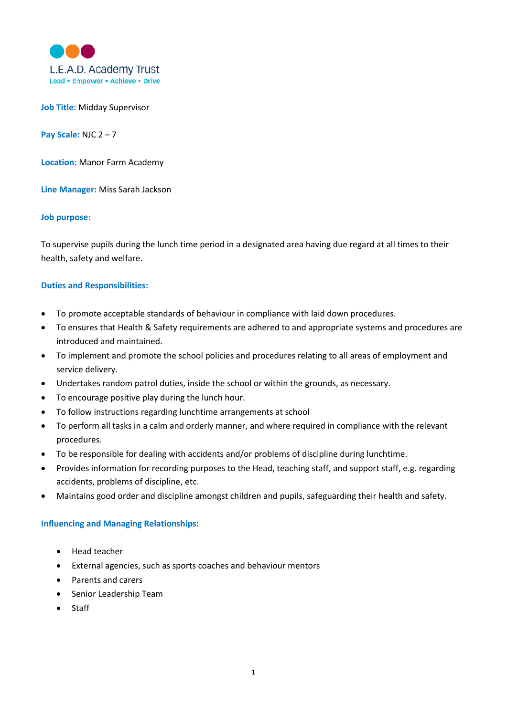

**Job Title:** Midday Supervisor

**Pay Scale:** NJC 2 – 7

**Location:** Manor Farm Academy

**Line Manager:** Miss Sarah Jackson

## **Job purpose:**

To supervise pupils during the lunch time period in a designated area having due regard at all times to their health, safety and welfare.

## **Duties and Responsibilities:**

- To promote acceptable standards of behaviour in compliance with laid down procedures.
- To ensures that Health & Safety requirements are adhered to and appropriate systems and procedures are introduced and maintained.
- To implement and promote the school policies and procedures relating to all areas of employment and service delivery.
- Undertakes random patrol duties, inside the school or within the grounds, as necessary.
- To encourage positive play during the lunch hour.
- To follow instructions regarding lunchtime arrangements at school
- To perform all tasks in a calm and orderly manner, and where required in compliance with the relevant procedures.
- To be responsible for dealing with accidents and/or problems of discipline during lunchtime.
- Provides information for recording purposes to the Head, teaching staff, and support staff, e.g. regarding accidents, problems of discipline, etc.
- Maintains good order and discipline amongst children and pupils, safeguarding their health and safety.

## **Influencing and Managing Relationships:**

- Head teacher
- External agencies, such as sports coaches and behaviour mentors
- Parents and carers
- **•** Senior Leadership Team
- Staff